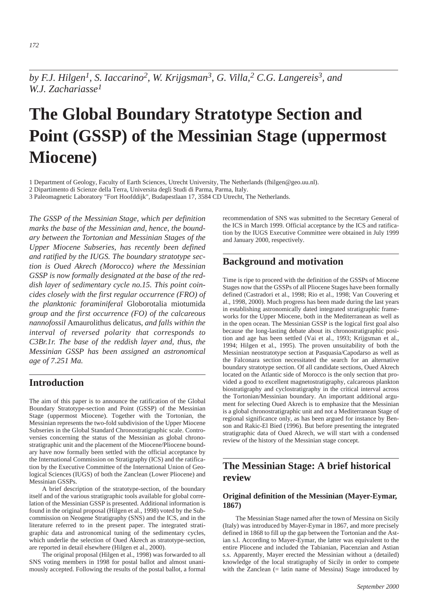*by F.J. Hilgen1, S. Iaccarino2, W. Krijgsman3*, *G. Villa,2 C.G. Langereis3, and W.J. Zachariasse<sup>1</sup>*

# **The Global Boundary Stratotype Section and Point (GSSP) of the Messinian Stage (uppermost Miocene)**

1 Department of Geology, Faculty of Earth Sciences, Utrecht University, The Netherlands (fhilgen@geo.uu.nl).

2 Dipartimento di Scienze della Terra, Universita degli Studi di Parma, Parma, Italy.

3 Paleomagnetic Laboratory "Fort Hoofddijk", Budapestlaan 17, 3584 CD Utrecht, The Netherlands.

*The GSSP of the Messinian Stage, which per definition marks the base of the Messinian and, hence, the boundary between the Tortonian and Messinian Stages of the Upper Miocene Subseries, has recently been defined and ratified by the IUGS. The boundary stratotype section is Oued Akrech (Morocco) where the Messinian GSSP is now formally designated at the base of the reddish layer of sedimentary cycle no.15. This point coincides closely with the first regular occurrence (FRO) of the planktonic foraminiferal* Globorotalia miotumida *group and the first occurrence (FO) of the calcareous nannofossil* Amaurolithus delicatus*, and falls within the interval of reversed polarity that corresponds to C3Br.1r. The base of the reddish layer and, thus, the Messinian GSSP has been assigned an astronomical age of 7.251 Ma.*

## **Introduction**

The aim of this paper is to announce the ratification of the Global Boundary Stratotype-section and Point (GSSP) of the Messinian Stage (uppermost Miocene). Together with the Tortonian, the Messinian represents the two-fold subdivision of the Upper Miocene Subseries in the Global Standard Chronostratigraphic scale. Controversies concerning the status of the Messinian as global chronostratigraphic unit and the placement of the Miocene/Pliocene boundary have now formally been settled with the official acceptance by the International Commission on Stratigraphy (ICS) and the ratification by the Executive Committee of the International Union of Geological Sciences (IUGS) of both the Zanclean (Lower Pliocene) and Messinian GSSPs.

A brief description of the stratotype-section, of the boundary itself and of the various stratigraphic tools available for global correlation of the Messinian GSSP is presented. Additional information is found in the original proposal (Hilgen et al., 1998) voted by the Subcommission on Neogene Stratigraphy (SNS) and the ICS, and in the literature referred to in the present paper. The integrated stratigraphic data and astronomical tuning of the sedimentary cycles, which underlie the selection of Oued Akrech as stratotype-section, are reported in detail elsewhere (Hilgen et al., 2000).

The original proposal (Hilgen et al., 1998) was forwarded to all SNS voting members in 1998 for postal ballot and almost unanimously accepted. Following the results of the postal ballot, a formal recommendation of SNS was submitted to the Secretary General of the ICS in March 1999. Official acceptance by the ICS and ratification by the IUGS Executive Committee were obtained in July 1999 and January 2000, respectively.

### **Background and motivation**

Time is ripe to proceed with the definition of the GSSPs of Miocene Stages now that the GSSPs of all Pliocene Stages have been formally defined (Castradori et al., 1998; Rio et al., 1998; Van Couvering et al., 1998, 2000). Much progress has been made during the last years in establishing astronomically dated integrated stratigraphic frameworks for the Upper Miocene, both in the Mediterranean as well as in the open ocean. The Messinian GSSP is the logical first goal also because the long-lasting debate about its chronostratigraphic position and age has been settled (Vai et al., 1993; Krijgsman et al., 1994; Hilgen et al., 1995). The proven unsuitability of both the Messinian neostratotype section at Pasquasia/Capodarso as well as the Falconara section necessitated the search for an alternative boundary stratotype section. Of all candidate sections, Oued Akrech located on the Atlantic side of Morocco is the only section that provided a good to excellent magnetostratigraphy, calcareous plankton biostratigraphy and cyclostratigraphy in the critical interval across the Tortonian/Messinian boundary. An important additional argument for selecting Oued Akrech is to emphasize that the Messinian is a global chronostratigraphic unit and not a Mediterranean Stage of regional significance only, as has been argued for instance by Benson and Rakic-El Bied (1996). But before presenting the integrated stratigraphic data of Oued Akrech, we will start with a condensed review of the history of the Messinian stage concept.

## **The Messinian Stage: A brief historical review**

#### **Original definition of the Messinian (Mayer-Eymar, 1867)**

The Messinian Stage named after the town of Messina on Sicily (Italy) was introduced by Mayer-Eymar in 1867, and more precisely defined in 1868 to fill up the gap between the Tortonian and the Astian s.l. According to Mayer-Eymar, the latter was equivalent to the entire Pliocene and included the Tabianian, Piacenzian and Astian s.s. Apparently, Mayer erected the Messinian without a (detailed) knowledge of the local stratigraphy of Sicily in order to compete with the Zanclean (= latin name of Messina) Stage introduced by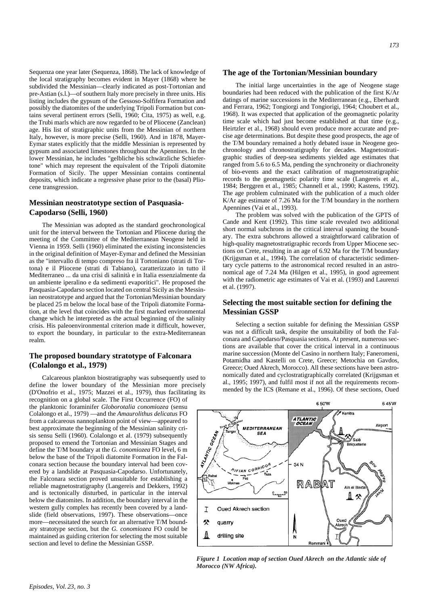Sequenza one year later (Sequenza, 1868). The lack of knowledge of the local stratigraphy becomes evident in Mayer (1868) where he subdivided the Messinian—clearly indicated as post-Tortonian and pre-Astian (s.l.)—of southern Italy more precisely in three units. His listing includes the gypsum of the Gessoso-Solfifera Formation and possibly the diatomites of the underlying Tripoli Formation but contains several pertinent errors (Selli, 1960; Cita, 1975) as well, e.g. the Trubi marls which are now regarded to be of Pliocene (Zanclean) age. His list of stratigraphic units from the Messinian of northern Italy, however, is more precise (Selli, 1960). And in 1878, Mayer-Eymar states explicitly that the middle Messinian is represented by gypsum and associated limestones throughout the Apennines. In the lower Messinian, he includes "gelbliche bis schwärzliche Schiefertone" which may represent the equivalent of the Tripoli diatomite Formation of Sicily. The upper Messinian contains continental deposits, which indicate a regressive phase prior to the (basal) Pliocene transgression.

#### **Messinian neostratotype section of Pasquasia-Capodarso (Selli, 1960)**

The Messinian was adopted as the standard geochronological unit for the interval between the Tortonian and Pliocene during the meeting of the Committee of the Mediterranean Neogene held in Vienna in 1959. Selli (1960) eliminated the existing inconsistencies in the original definition of Mayer-Eymar and defined the Messinian as the "intervallo di tempo compreso fra il Tortoniano (strati di Tortona) e il Pliocene (strati di Tabiano), caratterizzato in tutto il Mediterraneo ... da una crisi di salinità e in Italia essenzialmente da un ambiente iperalino e da sedimenti evaporitici". He proposed the Pasquasia-Capodarso section located on central Sicily as the Messinian neostratotype and argued that the Tortonian/Messinian boundary be placed 25 m below the local base of the Tripoli diatomite Formation, at the level that coincides with the first marked environmental change which he interpreted as the actual beginning of the salinity crisis. His paleoenvironmental criterion made it difficult, however, to export the boundary, in particular to the extra-Mediterranean realm.

#### **The proposed boundary stratotype of Falconara (Colalongo et al., 1979)**

Calcareous plankton biostratigraphy was subsequently used to define the lower boundary of the Messinian more precisely (D'Onofrio et al., 1975; Mazzei et al., 1979), thus facilitating its recognition on a global scale. The First Occurrence (FO) of the planktonic foraminifer *Globorotalia conomiozea* (sensu Colalongo et al., 1979) —and the *Amaurolithus delicatus* FO from a calcareous nannoplankton point of view—appeared to best approximate the beginning of the Messinian salinity crisis sensu Selli (1960). Colalongo et al. (1979) subsequently proposed to emend the Tortonian and Messinian Stages and define the T/M boundary at the *G. conomiozea* FO level, 6 m below the base of the Tripoli diatomite Formation in the Falconara section because the boundary interval had been covered by a landslide at Pasquasia-Capodarso. Unfortunately, the Falconara section proved unsuitable for establishing a reliable magnetostratigraphy (Langereis and Dekkers, 1992) and is tectonically disturbed, in particular in the interval below the diatomites. In addition, the boundary interval in the western gully complex has recently been covered by a landslide (field observations, 1997). These observations—once more—necessitated the search for an alternative T/M boundary stratotype section, but the *G. conomiozea* FO could be maintained as guiding criterion for selecting the most suitable section and level to define the Messinian GSSP.

#### **The age of the Tortonian/Messinian boundary**

The initial large uncertainties in the age of Neogene stage boundaries had been reduced with the publication of the first K/Ar datings of marine successions in the Mediterranean (e.g., Eberhardt and Ferrara, 1962; Tongiorgi and Tongiorigi, 1964; Choubert et al., 1968). It was expected that application of the geomagnetic polarity time scale which had just become established at that time (e.g., Heirtzler et al., 1968) should even produce more accurate and precise age determinations. But despite these good prospects, the age of the T/M boundary remained a hotly debated issue in Neogene geochronology and chronostratigraphy for decades. Magnetostratigraphic studies of deep-sea sediments yielded age estimates that ranged from 5.6 to 6.5 Ma, pending the synchroneity or diachroneity of bio-events and the exact calibration of magnetostratigraphic records to the geomagnetic polarity time scale (Langereis et al., 1984; Berggren et al., 1985; Channell et al., 1990; Kastens, 1992). The age problem culminated with the publication of a much older K/Ar age estimate of 7.26 Ma for the T/M boundary in the northern Apennines (Vai et al., 1993).

The problem was solved with the publication of the GPTS of Cande and Kent (1992). This time scale revealed two additional short normal subchrons in the critical interval spanning the boundary. The extra subchrons allowed a straightforward calibration of high-quality magnetostratigraphic records from Upper Miocene sections on Crete, resulting in an age of 6.92 Ma for the T/M boundary (Krijgsman et al., 1994). The correlation of characteristic sedimentary cycle patterns to the astronomical record resulted in an astronomical age of 7.24 Ma (Hilgen et al., 1995), in good agreement with the radiometric age estimates of Vai et al. (1993) and Laurenzi et al. (1997).

#### **Selecting the most suitable section for defining the Messinian GSSP**

Selecting a section suitable for defining the Messinian GSSP was not a difficult task, despite the unsuitability of both the Falconara and Capodarso/Pasquasia sections. At present, numerous sections are available that cover the critical interval in a continuous marine succession (Monte del Casino in northern Italy; Faneromeni, Potamidha and Kastelli on Crete, Greece; Metochia on Gavdos, Greece; Oued Akrech, Morocco). All these sections have been astronomically dated and cyclostratigraphically correlated (Krijgsman et al., 1995; 1997), and fulfil most if not all the requirements recommended by the ICS (Remane et al., 1996). Of these sections, Oued



*Figure 1 Location map of section Oued Akrech on the Atlantic side of Morocco (NW Africa).*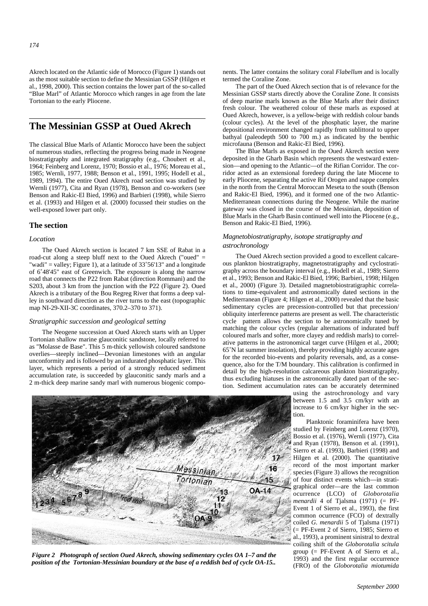Akrech located on the Atlantic side of Morocco (Figure 1) stands out as the most suitable section to define the Messinian GSSP (Hilgen et al., 1998, 2000). This section contains the lower part of the so-called "Blue Marl" of Atlantic Morocco which ranges in age from the late Tortonian to the early Pliocene.

## **The Messinian GSSP at Oued Akrech**

The classical Blue Marls of Atlantic Morocco have been the subject of numerous studies, reflecting the progress being made in Neogene biostratigraphy and integrated stratigraphy (e.g., Choubert et al., 1964; Feinberg and Lorenz, 1970; Bossio et al., 1976; Moreau et al., 1985; Wernli, 1977, 1988; Benson et al., 1991, 1995; Hodell et al., 1989, 1994). The entire Oued Akrech road section was studied by Wernli (1977), Cita and Ryan (1978), Benson and co-workers (see Benson and Rakic-El Bied, 1996) and Barbieri (1998), while Sierro et al. (1993) and Hilgen et al. (2000) focussed their studies on the well-exposed lower part only.

#### **The section**

#### *Location*

The Oued Akrech section is located 7 km SSE of Rabat in a road-cut along a steep bluff next to the Oued Akrech ("oued" = "wadi" = valley; Figure 1), at a latitude of 33˚56'13" and a longitude of 6˚48'45" east of Greenwich. The exposure is along the narrow road that connects the P22 from Rabat (direction Rommani) and the S203, about 3 km from the junction with the P22 (Figure 2). Oued Akrech is a tributary of the Bou Regreg River that forms a deep valley in southward direction as the river turns to the east (topographic map NI-29-XII-3C coordinates, 370.2–370 to 371).

#### *Stratigraphic succession and geological setting*

The Neogene succession at Oued Akrech starts with an Upper Tortonian shallow marine glauconitic sandstone, locally referred to as "Molasse de Base". This 5 m-thick yellowish coloured sandstone overlies—steeply inclined—Devonian limestones with an angular unconformity and is followed by an indurated phosphatic layer. This layer, which represents a period of a strongly reduced sediment accumulation rate, is succeeded by glauconitic sandy marls and a 2 m-thick deep marine sandy marl with numerous biogenic components. The latter contains the solitary coral *Flabellum* and is locally termed the Coraline Zone.

The part of the Oued Akrech section that is of relevance for the Messinian GSSP starts directly above the Coraline Zone. It consists of deep marine marls known as the Blue Marls after their distinct fresh colour. The weathered colour of these marls as exposed at Oued Akrech, however, is a yellow-beige with reddish colour bands (colour cycles). At the level of the phosphatic layer, the marine depositional environment changed rapidly from sublittoral to upper bathyal (paleodepth 500 to 700 m.) as indicated by the benthic microfauna (Benson and Rakic-El Bied, 1996).

The Blue Marls as exposed in the Oued Akrech section were deposited in the Gharb Basin which represents the westward extension—and opening to the Atlantic—of the Rifian Corridor. The corridor acted as an extensional foredeep during the late Miocene to early Pliocene, separating the active Rif Orogen and nappe complex in the north from the Central Moroccan Meseta to the south (Benson and Rakic-El Bied, 1996), and it formed one of the two Atlantic-Mediterranean connections during the Neogene. While the marine gateway was closed in the course of the Messinian, deposition of Blue Marls in the Gharb Basin continued well into the Pliocene (e.g., Benson and Rakic-El Bied, 1996).

#### *Magnetobiostratigraphy, isotope stratigraphy and astrochronology*

The Oued Akrech section provided a good to excellent calcareous plankton biostratigraphy, magnetostratigraphy and cyclostratigraphy across the boundary interval (e.g., Hodell et al., 1989; Sierro et al., 1993; Benson and Rakic-El Bied, 1996; Barbieri, 1998; Hilgen et al., 2000) (Figure 3). Detailed magnetobiostratigraphic correlations to time-equivalent and astronomically dated sections in the Mediterranean (Figure 4; Hilgen et al., 2000) revealed that the basic sedimentary cycles are precession-controlled but that precession/ obliquity interference patterns are present as well. The characteristic cycle pattern allows the section to be astronomically tuned by matching the colour cycles (regular alternations of indurated buff coloured marls and softer, more clayey and reddish marls) to correlative patterns in the astronomical target curve (Hilgen et al., 2000; 65˚N lat summer insolation), thereby providing highly accurate ages for the recorded bio-events and polarity reversals, and, as a consequence, also for the T/M boundary. This calibration is confirmed in detail by the high-resolution calcareous plankton biostratigraphy, thus excluding hiatuses in the astronomically dated part of the section. Sediment accumulation rates can be accurately determined

using the astrochronology and vary between 1.5 and 3.5 cm/kyr with an increase to 6 cm/kyr higher in the section.

Planktonic foraminifera have been studied by Feinberg and Lorenz (1970), Bossio et al. (1976), Wernli (1977), Cita and Ryan (1978), Benson et al. (1991), Sierro et al. (1993), Barbieri (1998) and Hilgen et al. (2000). The quantitative record of the most important marker species (Figure 3) allows the recognition of four distinct events which—in stratigraphical order—are the last common ocurrence (LCO) of *Globorotalia menardii* 4 of Tialsma (1971) (= PF-Event 1 of Sierro et al., 1993), the first common ocurrence (FCO) of dextrally coiled *G. menardii* 5 of Tjalsma (1971) (= PF-Event 2 of Sierro, 1985; Sierro et al., 1993), a prominent sinistral to dextral coiling shift of the *Globorotalia scitula* group (= PF-Event A of Sierro et al., 1993) and the first regular occurrence (FRO) of the *Globorotalia miotumida*



*Figure 2 Photograph of section Oued Akrech, showing sedimentary cycles OA 1–7 and the position of the Tortonian-Messinian boundary at the base of a reddish bed of cycle OA-15..*

*September 2000*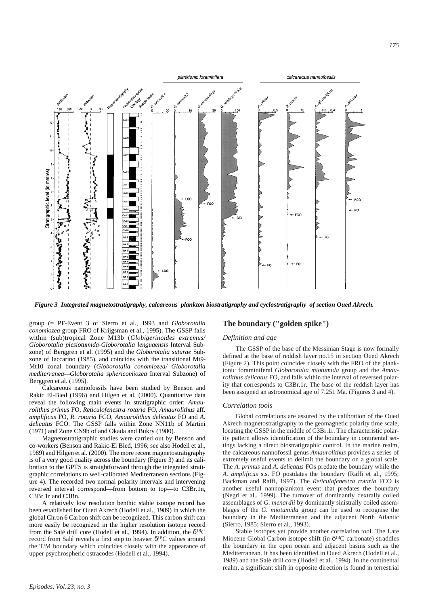

*Figure 3 Integrated magnetostratigraphy, calcareous plankton biostratigraphy and cyclostratigraphy of section Oued Akrech.* 

group (= PF-Event 3 of Sierro et al., 1993 and *Globorotalia conomiozea* group FRO of Krijgsman et al., 1995). The GSSP falls within (sub)tropical Zone M13b (*Globigerinoides extremus/ Globorotalia plesiotumida-Globorotalia lenguaensis* Interval Subzone) of Berggren et al. (1995) and the *Globorotalia suturae* Subzone of Iaccarino (1985), and coincides with the transitional Mt9- Mt10 zonal boundary (*Globorotalia conomiozea/ Globorotalia mediterranea—Globorotalia sphericomiozea* Interval Subzone) of Berggren et al. (1995).

Calcareous nannofossils have been studied by Benson and Rakic El-Bied (1996) and Hilgen et al. (2000). Quantitative data reveal the following main events in stratigraphic order: *Amaurolithus primus* FO, *Reticulofenestra rotaria* FO, *Amaurolithus* aff. *amplificus* FO, *R. rotaria* FCO, *Amaurolithus delicatus* FO and *A. delicatus* FCO. The GSSP falls within Zone NN11b of Martini (1971) and Zone CN9b of and Okada and Bukry (1980).

Magnetostratigraphic studies were carried out by Benson and co-workers (Benson and Rakic-El Bied, 1996; see also Hodell et al., 1989) and Hilgen et al. (2000). The more recent magnetostratigraphy is of a very good quality across the boundary (Figure 3) and its calibration to the GPTS is straightforward through the integrated stratigraphic correlations to well-calibrated Mediterranean sections (Figure 4). The recorded two normal polarity intervals and intervening reversed interval correspond—from bottom to top—to C3Br.1n, C3Br.1r and C3Bn.

A relatively low resolution benthic stable isotope record has been established for Oued Akrech (Hodell et al., 1989) in which the global Chron 6 Carbon shift can be recognized. This carbon shift can more easily be recognized in the higher resolution isotope record from the Salé drill core (Hodell et al., 1994). In addition, the  $\delta^{18}C$ record from Salé reveals a first step to heavier  $\delta^{18}C$  values around the T/M boundary which coincides closely with the appearance of upper psychrospheric ostracodes (Hodell et al., 1994).

#### **The boundary ("golden spike")**

#### *Definition and age*

The GSSP of the base of the Messinian Stage is now formally defined at the base of reddish layer no.15 in section Oued Akrech (Figure 2). This point coincides closely with the FRO of the planktonic foraminiferal *Globorotalia miotumida* group and the *Amaurolithus delicatus* FO, and falls within the interval of reversed polarity that corresponds to C3Br.1r. The base of the reddish layer has been assigned an astronomical age of 7.251 Ma. (Figures 3 and 4).

#### *Correlation tools*

Global correlations are assured by the calibration of the Oued Akrech magnetostratigraphy to the geomagnetic polarity time scale, locating the GSSP in the middle of C3Br.1r. The characteristic polarity pattern allows identification of the boundary in continental settings lacking a direct biostratigraphic control. In the marine realm, the calcareous nannofossil genus *Amaurolithus* provides a series of extremely useful events to delimit the boundary on a global scale. The *A. primus* and *A. delicatus* FOs predate the boundary while the *A. amplificus* s.s. FO postdates the boundary (Raffi et al., 1995; Backman and Raffi, 1997). The *Reticulofenestra rotaria* FCO is another useful nannoplankton event that predates the boundary (Negri et al., 1999). The turnover of dominantly dextrally coiled assemblages of *G. menardii* by dominantly sinistrally coiled assemblages of the *G. miotumida* group can be used to recognise the boundary in the Mediterranean and the adjacent North Atlantic (Sierro, 1985; Sierro et al., 1993).

Stable isotopes yet provide another correlation tool. The Late Miocene Global Carbon isotope shift (in  $\delta^{13}$ C carbonate) straddles the boundary in the open ocean and adjacent basins such as the Mediterranean. It has been identified in Oued Akrech (Hodell et al., 1989) and the Salé drill core (Hodell et al., 1994). In the continental realm, a significant shift in opposite direction is found in terrestrial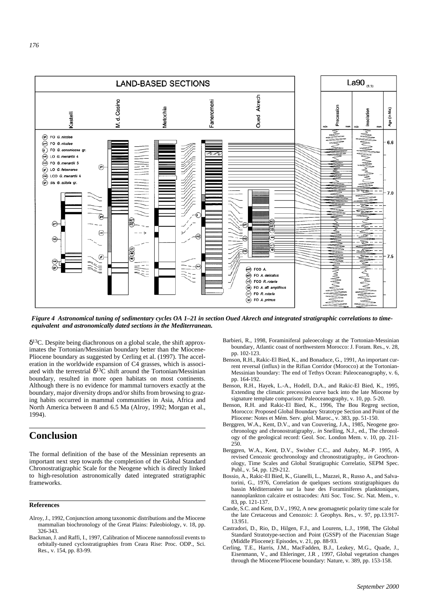

*Figure 4 Astronomical tuning of sedimentary cycles OA 1–21 in section Oued Akrech and integrated stratigraphic correlations to timeequivalent and astronomically dated sections in the Mediterranean.*

δ13C. Despite being diachronous on a global scale, the shift approximates the Tortonian/Messinian boundary better than the Miocene-Pliocene boundary as suggested by Cerling et al. (1997). The acceleration in the worldwide expansion of C4 grasses, which is associated with the terrestrial  $\delta^{13}$ C shift around the Tortonian/Messinian boundary, resulted in more open habitats on most continents. Although there is no evidence for mammal turnovers exactly at the boundary, major diversity drops and/or shifts from browsing to grazing habits occurred in mammal communities in Asia, Africa and North America between 8 and 6.5 Ma (Alroy, 1992; Morgan et al., 1994).

## **Conclusion**

The formal definition of the base of the Messinian represents an important next step towards the completion of the Global Standard Chronostratigraphic Scale for the Neogene which is directly linked to high-resolution astronomically dated integrated stratigraphic frameworks.

#### **References**

- Alroy, J., 1992, Conjunction among taxonomic distributions and the Miocene mammalian biochronology of the Great Plains: Paleobiology, v. 18, pp. 326-343.
- Backman, J. and Raffi, I., 1997, Calibration of Miocene nannofossil events to orbitally-tuned cyclostratigraphies from Ceara Rise: Proc. ODP., Sci. Res., v. 154, pp. 83-99.
- Barbieri, R., 1998, Foraminiferal paleoecology at the Tortonian-Messinian boundary, Atlantic coast of northwestern Morocco: J. Foram. Res., v. 28, pp. 102-123.
- Benson, R.H., Rakic-El Bied, K., and Bonaduce, G., 1991, An important current reversal (influx) in the Rifian Corridor (Morocco) at the Tortonian-Messinian boundary: The end of Tethys Ocean: Paleoceanography, v. 6, pp. 164-192.
- Benson, R.H., Hayek, L.-A., Hodell, D.A., and Rakic-El Bied, K., 1995, Extending the climatic precession curve back into the late Miocene by signature template comparison: Paleoceanography, v. 10, pp. 5-20.
- Benson, R.H. and Rakic-El Bied, K., 1996, The Bou Regreg section, Morocco: Proposed Global Boundary Stratotype Section and Point of the Pliocene: Notes et Mém. Serv. géol. Maroc., v. 383, pp. 51-150.
- Berggren, W.A., Kent, D.V., and van Couvering, J.A., 1985, Neogene geochronology and chronostratigraphy,. *in* Snelling, N.J., ed., The chronology of the geological record: Geol. Soc. London Mem. v. 10, pp. 211- 250.
- Berggren, W.A., Kent, D.V., Swisher C.C., and Aubry, M.-P. 1995, A revised Cenozoic geochronology and chronostratigraphy,. *in* Geochronology, Time Scales and Global Stratigraphic Correlatio, SEPM Spec. Publ., v. 54, pp. 129-212.
- Bossio, A., Rakic-El Bied, K., Gianelli, L., Mazzei, R., Russo A., and Salvatorini, G., 1976, Correlation de quelques sections stratigraphiques du bassin Méditerranéen sur la base des Foraminiferes planktoniques, nannoplankton calcaire et ostracodes: Atti Soc. Tosc. Sc. Nat. Mem., v. 83, pp. 121-137.
- Cande, S.C. and Kent, D.V., 1992, A new geomagnetic polarity time scale for the late Cretaceous and Cenozoic: J. Geophys. Res., v. 97, pp.13.917- 13.951.
- Castradori, D., Rio, D., Hilgen, F.J., and Lourens, L.J., 1998, The Global Standard Stratotype-section and Point (GSSP) of the Piacenzian Stage (Middle Pliocene): Episodes, v. 21, pp. 88-93.
- Cerling, T.E., Harris, J.M., MacFadden, B.J., Leakey, M.G., Quade, J., Eisenmann, V., and Ehleringer, J.R , 1997, Global vegetation changes through the Miocene/Pliocene boundary: Nature, v. 389, pp. 153-158.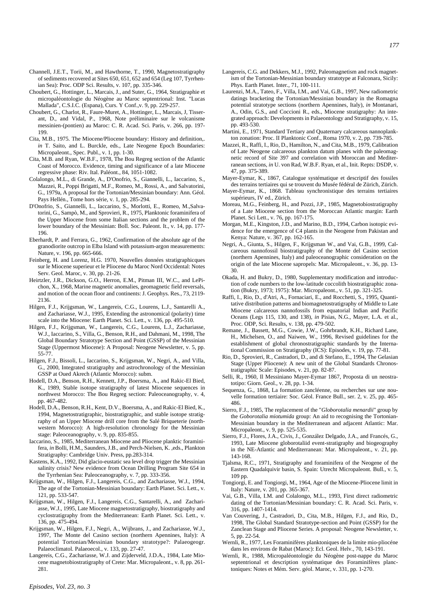- Channell, J.E.T., Torii, M., and Hawthorne, T., 1990, Magnetostratigraphy of sediments recovered at Sites 650, 651, 652 and 654 (Leg 107, Tyrrhenian Sea): Proc. ODP Sci. Results, v. 107, pp. 335-346.
- Choubert, G., Hottinger, L., Marcais, J., and Suter, G., 1964, Stratigraphie et micropaléontologie du Néogène au Maroc septentrional: Inst. "Lucas Mallada", C.S.I.C. (Espana), Curs. Y Conf.,v. 9, pp. 229-257.
- Choubert, G., Charlot, R., Faure-Muret, A., Hottinger, L., Marcais, J, Tisserant, D., and Vidal, P., 1968, Note préliminaire sur le volcanisme messinien-(pontien) au Maroc: C. R. Acad. Sci. Paris, v. 266, pp. 197- 199.
- Cita, M.B., 1975. The Miocene/Pliocene boundary: History and definition,. *in* T. Saito, and L. Burckle, eds., Late Neogene Epoch Boundaries: Micropaleont., Spec. Publ., v. 1, pp. 1-30.
- Cita, M.B. and Ryan, W.B.F., 1978, The Bou Regreg section of the Atlantic Coast of Morocco. Evidence, timing and significance of a late Miocene regressive phase: Riv. Ital. Paléont., 84, 1051-1082.
- Colalongo, M.L., di Grande, A., D'Onofrio, S., Giannelli, L., Iaccarino, S., Mazzei, R., Poppi Brigatti, M.F., Romeo, M., Rossi, A., and Salvatorini, G., 1979a, A proposal for the Tortonian/Messinian boundary: Ann. Géol. Pays Hellén., Tome hors série, v. 1, pp. 285-294.
- D'Onofrio, S., Giannelli, L., Iaccarino, S., Morlotti, E., Romeo, M.,Salvatorini, G., Sampò, M., and Sprovieri, R., 1975, Planktonic foraminifera of the Upper Miocene from some Italian sections and the problem of the lower boundary of the Messinian: Boll. Soc. Paleont. It., v. 14, pp. 177- 196.
- Eberhardt, P. and Ferrara, G., 1962, Confirmation of the absolute age of the granodiorite outcrop in Elba Island with potassium-argon measurements: Nature, v. 196, pp. 665-666.
- Feinberg, H. and Lorenz, H.G. 1970, Nouvelles données stratigraphicques sur le Miocene superieur et le Pliocene du Maroc Nord Occidental: Notes Serv. Geol. Maroc, v. 30, pp. 21-26.
- Heirtzler, J.R., Dickson, G.O., Herron, E.M., Pitman III, W.C., and LePichon, X., 1968, Marine magnetic anomalies, geomagnetic field reversals, and motion of the ocean floor and continents: J. Geophys. Res., 73, 2119- 2136.
- Hilgen, F.J., Krijgsman, W., Langereis, C.G., Lourens, L.J., Santarelli A., and Zachariasse, W.J., 1995, Extending the astronomical (polarity) time scale into the Miocene: Earth Planet. Sci. Lett., v. 136, pp. 495-510.
- Hilgen, F.J., Krijgsman, W., Langereis, C.G., Lourens, L.J., Zachariasse, W.J., Iaccarino, S., Villa, G., Benson, R.H., and Dahmani, M., 1998, The Global Boundary Stratotype Section and Point (GSSP) of the Messinian Stage (Uppermost Miocene): A Proposal: Neogene Newsletter, v. 5, pp. 55-77.
- Hilgen, F.J., Bissoli, L., Iaccarino, S., Krijgsman, W., Negri, A., and Villa, G., 2000, Integrated stratigraphy and astrochronology of the Messinian GSSP at Oued Akrech (Atlantic Morocco): subm.
- Hodell, D.A., Benson, R.H., Kennett, J.P., Boersma, A., and Rakic-El Bied, K., 1989, Stable isotope stratigraphy of latest Miocene sequences in northwest Morocco: The Bou Regreg section: Paleoceanography, v. 4, pp. 467-482.
- Hodell, D.A., Benson, R.H., Kent, D.V., Boersma, A., and Rakic-El Bied, K., 1994, Magnetostratigraphic, biostratigraphic, and stable isotope stratigraphy of an Upper Miocene drill core from the Salé Briqueterie (northwestern Morocco): A high-resolution chronology for the Messinian stage: Paleoceanography, v. 9, pp. 835-855.
- Iaccarino, S., 1985, Mediterranean Miocene and Pliocene planktic foraminifera, *in* Bolli, H.M., Saunders, J.B., and Perch-Nielsen, K. ,eds., Plankton Stratigraphy: Cambridge Univ. Press, pp.283-314.
- Kastens, K.A., 1992, Did glacio-eustatic sea level drop trigger the Messinian salinity crisis? New evidence from Ocean Drilling Program Site 654 in the Tyrrhenian Sea: Paleoceanography, v. 7, pp. 333-356.
- Krijgsman, W., Hilgen, F.J., Langereis, C.G., and Zachariasse, W.J., 1994, The age of the Tortonian-Messinian boundary: Earth Planet. Sci. Lett., v. 121, pp. 533-547.
- Krijgsman, W., Hilgen, F.J., Langereis, C.G., Santarelli, A., and Zachariasse, W.J., 1995, Late Miocene magnetostratigraphy, biostratigraphy and cyclostratigraphy from the Mediterranean: Earth Planet. Sci. Lett., v. 136, pp. 475-494.
- Krijgsman, W., Hilgen, F.J., Negri, A., Wijbrans, J., and Zachariasse, W.J., 1997, The Monte del Casino section (northern Apennines, Italy): A potential Tortonian/Messinian boundary stratotype?: Palaeogeogr. Palaeoclimatol. Palaeoecol., v. 133, pp. 27-47.
- Langereis, C.G., Zachariasse, W.J. and Zijderveld, J.D.A., 1984, Late Miocene magnetobiostratigraphy of Crete: Mar. Micropaleont., v. 8, pp. 261- 281.
- Langereis, C.G. and Dekkers, M.J., 1992, Paleomagnetism and rock magnetism of the Tortonian-Messinian boundary stratotype at Falconara, Sicily:
- Phys. Earth Planet. Inter., 71, 100-111. Laurenzi, M.A., Tateo, F., Villa, I.M., and Vai, G.B., 1997, New radiometric datings bracketing the Tortonian/Messinian boundary in the Romagna potential stratotype sections (northern Apennines, Italy), *in* Montanari, A., Odin, G.S., and Coccioni R., eds., Miocene stratigraphy: An integrated approach: Developments in Palaeontology and Stratigraphy, v. 15, pp. 493-530.
- Martini, E., 1971, Standard Tertiary and Quaternary calcareous nannoplankton zonation: Proc. II Planktonic Conf., Roma 1970, v. 2, pp. 739-785.
- Mazzei, R., Raffi, I., Rio, D., Hamilton, N., and Cita, M.B., 1979, Calibration of Late Neogene calcareous plankton datum planes with the paleomagnetic record of Site 397 and correlation with Moroccan and Mediterranean sections, *in* U. von Rad, W.B.F. Ryan, et al., Init. Repts: DSDP, v. 47, pp. 375-389.
- Mayer-Eymar, K., 1867, Catalogue systématique et descriptif des fossiles des terrains tertiaires qui se trouvent du Musée fédéral de Zürich, Zürich.
- Mayer-Eymar, K., 1868. Tableau synchronistique des terrains tertiaires supérieurs, IV ed., Zürich.
- Moreau, M.G., Feinberg, H., and Pozzi, J.P., 1985, Magnetobiostratigraphy of a Late Miocene section from the Moroccan Atlantic margin: Earth Planet. Sci Lett., v. 76, pp. 167-175.
- Morgan, M.E., Kingston, J.D., and Marino, B.D., 1994, Carbon isotopic evidence for the emergence of C4 plants in the Neogene from Pakistan and Kenya: Nature, v. 367, pp. 162-165.
- Negri, A., Giunta, S., Hilgen, F., Krijgsman W., and Vai, G.B., 1999, Calcareous nannofossil biostratigraphy of the Monte del Casino section (northern Apennines, Italy) and paleoceanographic consideration on the origin of the late Miocene sapropels: Mar. Micropaleont., v. 36, pp. 13- 30.
- Okada, H. and Bukry, D., 1980, Supplementary modification and introduction of code numbers to the low-latitude coccolith biostratigraphic zonation (Bukry, 1973; 1975): Mar. Micropaleont., v. 51, pp. 321-325.
- Raffi, I., Rio, D., d'Atri, A., Fornaciari, E., and Rocchetti, S., 1995, Quantitative distribution patterns and biomagnetostratigraphy of Middle to Late Miocene calcareous nannofossils from equatorial Indian and Pacific Oceans (Legs 115, 130, and 138), *in* Pisias, N.G., Mayer, L.A. et al., Proc. ODP, Sci. Results, v. 138, pp. 479-502.
- Remane, J., Bassett, M.G., Cowie, J.W., Gohrbrandt, K.H., Richard Lane, H., Michelsen, O., and Naiwen, W., 1996, Revised guidelines for the establishment of global chronostratigraphic standards by the International Commission on Stratigraphy (ICS): Episodes, v. 19, pp. 77-81.
- Rio, D., Sprovieri, R., Castradori, D., and di Stefano, E., 1994, The Gelasian Stage (Upper Pliocene): A new unit of the Global Standards Chronostratigraphic Scale: Episodes, v. 21, pp. 82-87.
- Selli, R., 1960, Il Messiniano Mayer-Eymar 1867, Proposta di un neostratotipo: Giorn. Geol., v. 28, pp. 1-34.
- Sequenza, G., 1868, La formation zancléenne, ou recherches sur une nouvelle formation tertiaire: Soc. Géol. France Bull., ser. 2, v. 25, pp. 465- 486.
- Sierro, F.J., 1985, The replacement of the "*Globorotalia menardii*" group by the *Goborotalia miotumida* group: An aid to recognising the Tortonian-Messinian boundary in the Mediterranean and adjacent Atlantic: Mar. Micropaleont., v. 9, pp. 525-535.
- Sierro, F.J., Flores, J.A., Civis, J., González Delgado, J.A., and Francés, G., 1993, Late Miocene globorotaliid event-stratigraphy and biogeography in the NE-Atlantic and Mediterranean: Mar. Micropaleont., v. 21, pp. 143-168.
- Tjalsma, R.C., 1971, Stratigraphy and foraminifera of the Neogene of the Eastern Quadalquivir basin, S. Spain: Utrecht Micropaleont. Bull., v. 5, 109 pp.
- Tongiorgi, E. and Tongiorgi, M., 1964, Age of the Miocene-Pliocene limit in Italy: Nature, v. 201, pp. 365-367.
- Vai, G.B., Villa, I.M. and Colalongo, M.L., 1993, First direct radiometric dating of the Tortonian/Messinian boundary: C. R. Acad. Sci. Paris, v. 316, pp. 1407-1414.
- Van Couvering, J., Castradori, D., Cita, M.B., Hilgen, F.J., and Rio, D., 1998, The Global Standard Stratotype-section and Point (GSSP) for the Zanclean Stage and Pliocene Series. A proposal: Neogene Newsletter, v. 5, pp. 22-54.
- Wernli, R., 1977, Les Foraminifères planktoniques de la limite mio-pliocéne dans les environs de Rabat (Maroc): Ecl. Geol. Helv., 70, 143-191.
- Wernli, R., 1988, Micropaléontologie du Néogène post-nappe du Maroc septentrional et description systématique des Foraminifères planctoniques: Notes et Mém. Serv. géol. Maroc, v. 331, pp. 1-270.